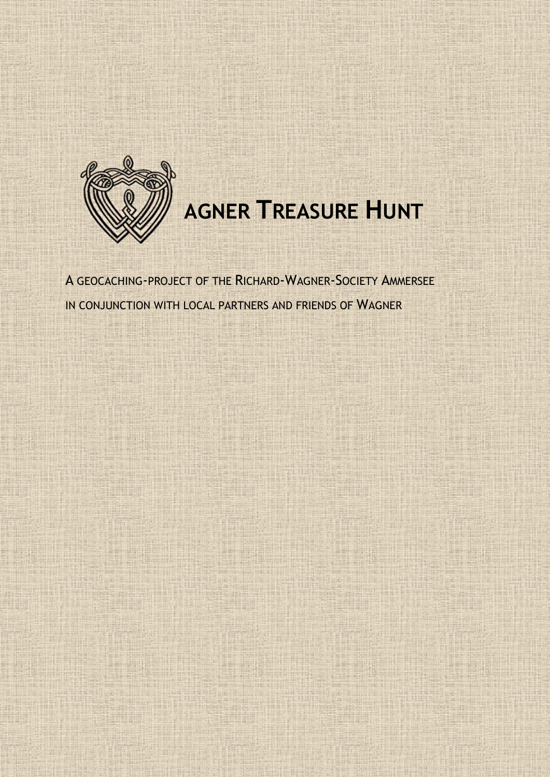

# **AGNER TREASURE HUNT**

A GEOCACHING-PROJECT OF THE RICHARD-WAGNER-SOCIETY AMMERSEE IN CONJUNCTION WITH LOCAL PARTNERS AND FRIENDS OF WAGNER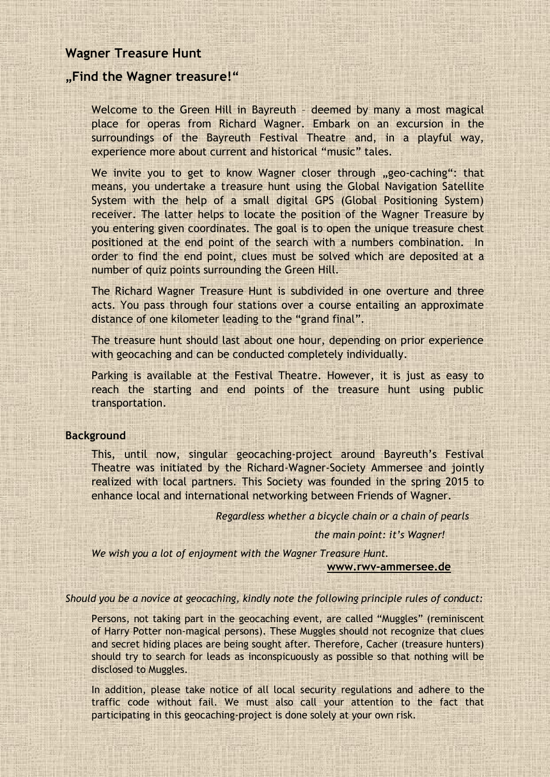# **Wagner Treasure Hunt**

# **"Find the Wagner treasure!"**

Welcome to the Green Hill in Bayreuth – deemed by many a most magical place for operas from Richard Wagner. Embark on an excursion in the surroundings of the Bayreuth Festival Theatre and, in a playful way, experience more about current and historical "music" tales.

We invite you to get to know Wagner closer through "geo-caching": that means, you undertake a treasure hunt using the Global Navigation Satellite System with the help of a small digital GPS (Global Positioning System) receiver. The latter helps to locate the position of the Wagner Treasure by you entering given coordinates. The goal is to open the unique treasure chest positioned at the end point of the search with a numbers combination. In order to find the end point, clues must be solved which are deposited at a number of quiz points surrounding the Green Hill.

The Richard Wagner Treasure Hunt is subdivided in one overture and three acts. You pass through four stations over a course entailing an approximate distance of one kilometer leading to the "grand final".

The treasure hunt should last about one hour, depending on prior experience with geocaching and can be conducted completely individually.

Parking is available at the Festival Theatre. However, it is just as easy to reach the starting and end points of the treasure hunt using public transportation.

# **Background**

This, until now, singular geocaching-project around Bayreuth's Festival Theatre was initiated by the Richard-Wagner-Society Ammersee and jointly realized with local partners. This Society was founded in the spring 2015 to enhance local and international networking between Friends of Wagner.

*Regardless whether a bicycle chain or a chain of pearls*

*the main point: it's Wagner!*

*We wish you a lot of enjoyment with the Wagner Treasure Hunt.*

### **[www.rwv-ammersee.de](http://www.rwv-ammersee.de/)**

*Should you be a novice at geocaching, kindly note the following principle rules of conduct:*

Persons, not taking part in the geocaching event, are called "Muggles" (reminiscent of Harry Potter non-magical persons). These Muggles should not recognize that clues and secret hiding places are being sought after. Therefore, Cacher (treasure hunters) should try to search for leads as inconspicuously as possible so that nothing will be disclosed to Muggles.

In addition, please take notice of all local security regulations and adhere to the traffic code without fail. We must also call your attention to the fact that participating in this geocaching-project is done solely at your own risk.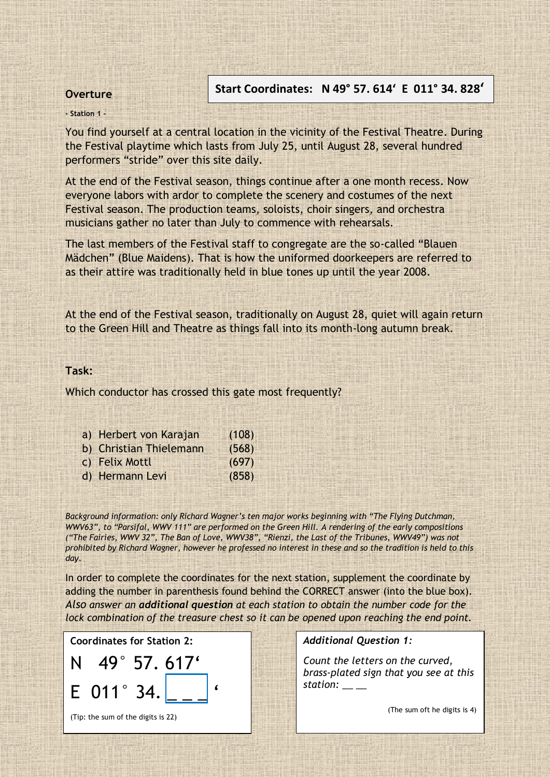# **Overture**

# **Start Coordinates: N 49° 57. 614' E 011° 34. 828'**

### **- Station 1 -**

You find yourself at a central location in the vicinity of the Festival Theatre. During the Festival playtime which lasts from July 25, until August 28, several hundred performers "stride" over this site daily.

At the end of the Festival season, things continue after a one month recess. Now everyone labors with ardor to complete the scenery and costumes of the next Festival season. The production teams, soloists, choir singers, and orchestra musicians gather no later than July to commence with rehearsals.

The last members of the Festival staff to congregate are the so-called "Blauen Mädchen" (Blue Maidens). That is how the uniformed doorkeepers are referred to as their attire was traditionally held in blue tones up until the year 2008.

At the end of the Festival season, traditionally on August 28, quiet will again return to the Green Hill and Theatre as things fall into its month-long autumn break.

# **Task:**

Which conductor has crossed this gate most frequently?

| a) Herbert von Karajan  | (108) |
|-------------------------|-------|
| b) Christian Thielemann | (568) |
| c) Felix Mottl          | (697) |
| d) Hermann Levi         | (858) |

*Background information: only Richard Wagner's ten major works beginning with "The Flying Dutchman, WWV63", to "Parsifal, WWV 111" are performed on the Green Hill. A rendering of the early compositions ("The Fairies, WWV 32", The Ban of Love, WWV38", "Rienzi, the Last of the Tribunes, WWV49") was not prohibited by Richard Wagner, however he professed no interest in these and so the tradition is held to this day.*

In order to complete the coordinates for the next station, supplement the coordinate by adding the number in parenthesis found behind the CORRECT answer (into the blue box). *Also answer an additional question at each station to obtain the number code for the lock combination of the treasure chest so it can be opened upon reaching the end point.*





(Tip: the sum of the digits is 22)

*Additional Question 1:*

*Count the letters on the curved, brass-plated sign that you see at this station: \_\_ \_\_* 

(The sum oft he digits is 4)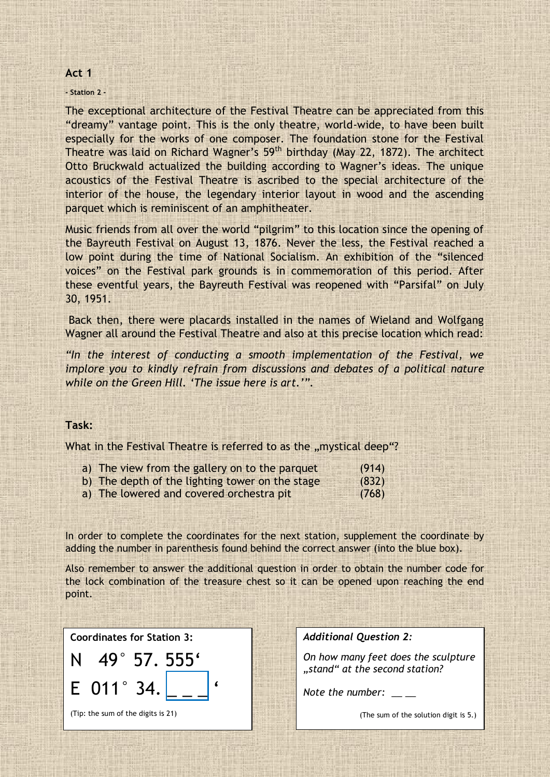### **Act 1**

### **- Station 2 -**

The exceptional architecture of the Festival Theatre can be appreciated from this "dreamy" vantage point. This is the only theatre, world-wide, to have been built especially for the works of one composer. The foundation stone for the Festival Theatre was laid on Richard Wagner's 59<sup>th</sup> birthday (May 22, 1872). The architect Otto Bruckwald actualized the building according to Wagner's ideas. The unique acoustics of the Festival Theatre is ascribed to the special architecture of the interior of the house, the legendary interior layout in wood and the ascending parquet which is reminiscent of an amphitheater.

Music friends from all over the world "pilgrim" to this location since the opening of the Bayreuth Festival on August 13, 1876. Never the less, the Festival reached a low point during the time of National Socialism. An exhibition of the "silenced voices" on the Festival park grounds is in commemoration of this period. After these eventful years, the Bayreuth Festival was reopened with "Parsifal" on July 30, 1951.

Back then, there were placards installed in the names of Wieland and Wolfgang Wagner all around the Festival Theatre and also at this precise location which read:

*"In the interest of conducting a smooth implementation of the Festival, we implore you to kindly refrain from discussions and debates of a political nature while on the Green Hill. 'The issue here is art.'".* 

# **Task:**

What in the Festival Theatre is referred to as the "mystical deep"?

| a) The view from the gallery on to the parquet  | (914) |
|-------------------------------------------------|-------|
| b) The depth of the lighting tower on the stage | (832) |
| a) The lowered and covered orchestra pit        | (768) |

In order to complete the coordinates for the next station, supplement the coordinate by adding the number in parenthesis found behind the correct answer (into the blue box).

Also remember to answer the additional question in order to obtain the number code for the lock combination of the treasure chest so it can be opened upon reaching the end point.

**Coordinates for Station 3:**



*Additional Question 2:*

*On how many feet does the sculpture "stand" at the second station?*

*Note the number:* 

(The sum of the solution digit is 5.)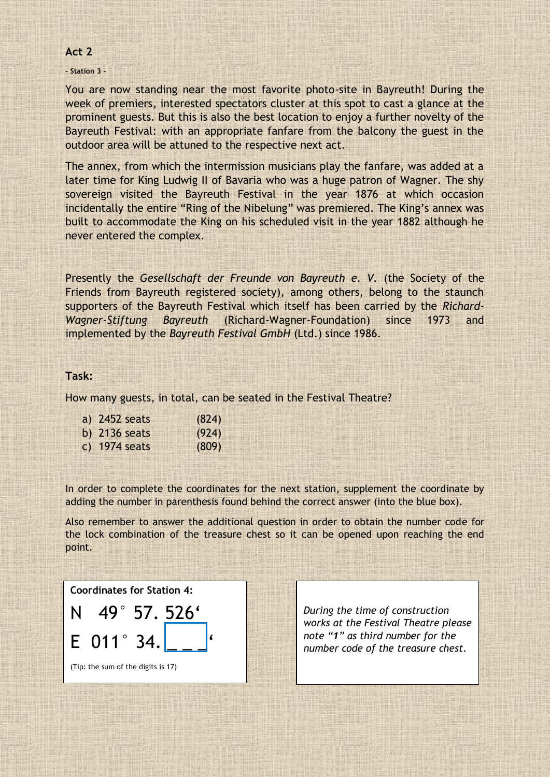# **Act 2**

### **- Station 3 -**

You are now standing near the most favorite photo-site in Bayreuth! During the week of premiers, interested spectators cluster at this spot to cast a glance at the prominent guests. But this is also the best location to enjoy a further novelty of the Bayreuth Festival: with an appropriate fanfare from the balcony the guest in the outdoor area will be attuned to the respective next act.

The annex, from which the intermission musicians play the fanfare, was added at a later time for King Ludwig II of Bavaria who was a huge patron of Wagner. The shy sovereign visited the Bayreuth Festival in the year 1876 at which occasion incidentally the entire "Ring of the Nibelung" was premiered. The King's annex was built to accommodate the King on his scheduled visit in the year 1882 although he never entered the complex.

Presently the *Gesellschaft der Freunde von Bayreuth e. V.* (the Society of the Friends from Bayreuth registered society), among others, belong to the staunch supporters of the Bayreuth Festival which itself has been carried by the *Richard-Wagner-Stiftung Bayreuth* (Richard-Wagner-Foundation) since 1973 and implemented by the *Bayreuth Festival GmbH* (Ltd.) since 1986.

### **Task:**

How many guests, in total, can be seated in the Festival Theatre?

| a) 2452 seats   | (824) |
|-----------------|-------|
| b) $2136$ seats | (924) |
| c) $1974$ seats | (809) |

In order to complete the coordinates for the next station, supplement the coordinate by adding the number in parenthesis found behind the correct answer (into the blue box).

Also remember to answer the additional question in order to obtain the number code for the lock combination of the treasure chest so it can be opened upon reaching the end point.

**Coordinates for Station 4:**

N 49° 57. 526'  $E$  011° 34

(Tip: the sum of the digits is 17)

*During the time of construction works at the Festival Theatre please note "1" as third number for the number code of the treasure chest.*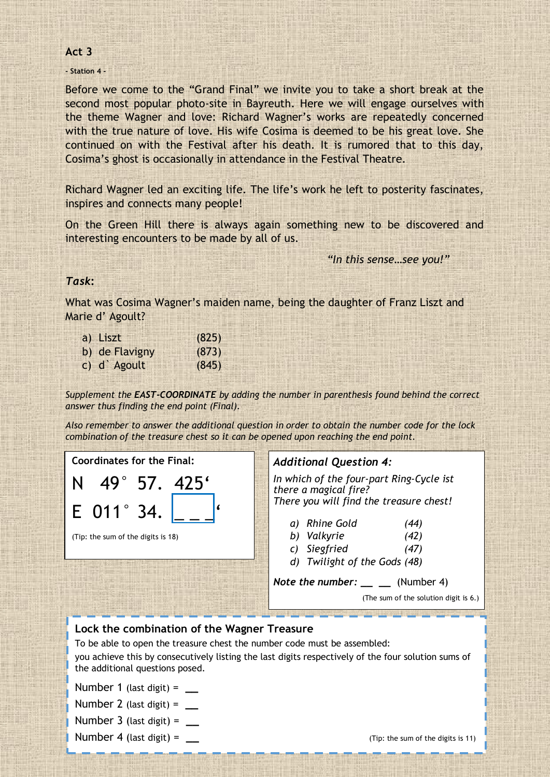# **Act 3**

**- Station 4 -**

Before we come to the "Grand Final" we invite you to take a short break at the second most popular photo-site in Bayreuth. Here we will engage ourselves with the theme Wagner and love: Richard Wagner's works are repeatedly concerned with the true nature of love. His wife Cosima is deemed to be his great love. She continued on with the Festival after his death. It is rumored that to this day, Cosima's ghost is occasionally in attendance in the Festival Theatre.

Richard Wagner led an exciting life. The life's work he left to posterity fascinates, inspires and connects many people!

On the Green Hill there is always again something new to be discovered and interesting encounters to be made by all of us.

*"In this sense…see you!"*

# *Task***:**

What was Cosima Wagner's maiden name, being the daughter of Franz Liszt and Marie d' Agoult?

| a) Liszt       | (825) |
|----------------|-------|
| b) de Flavigny | (873) |
| c) d Agoult    | (845) |

*Supplement the EAST-COORDINATE by adding the number in parenthesis found behind the correct answer thus finding the end point (Final).* 

*Also remember to answer the additional question in order to obtain the number code for the lock combination of the treasure chest so it can be opened upon reaching the end point.*

**Coordinates for the Final:** N 49° 57. 425'



# (Tip: the sum of the digits is 18)

# *Additional Question 4:*

*In which of the four-part Ring-Cycle ist there a magical fire? There you will find the treasure chest!*

| a) Rhine Gold | (44) |
|---------------|------|

- *b) Valkyrie (42)*
- *c) Siegfried (47)*
- *d) Twilight of the Gods (48)*

*Note the number:* \_\_\_ \_\_ (Number 4)

(The sum of the solution digit is 6.)

# **Lock the combination of the Wagner Treasure**

To be able to open the treasure chest the number code must be assembled: you achieve this by consecutively listing the last digits respectively of the four solution sums of the additional questions posed.

Number 1 (last digit) = **\_\_**

Number 2 (last digit) = **\_\_**

Number 3 (last digit) = **\_\_**

Number 4 (last digit) = *Number 4* (last digit) =